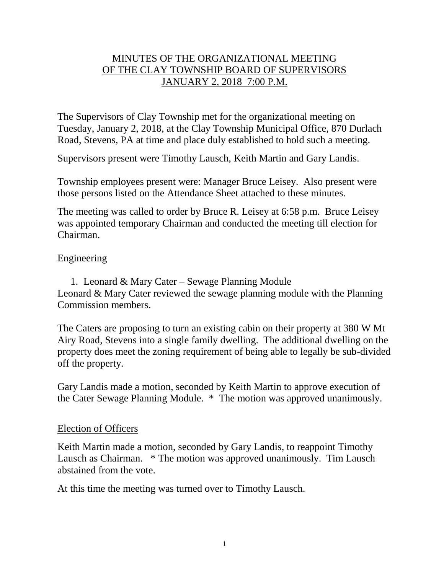# MINUTES OF THE ORGANIZATIONAL MEETING OF THE CLAY TOWNSHIP BOARD OF SUPERVISORS JANUARY 2, 2018 7:00 P.M.

The Supervisors of Clay Township met for the organizational meeting on Tuesday, January 2, 2018, at the Clay Township Municipal Office, 870 Durlach Road, Stevens, PA at time and place duly established to hold such a meeting.

Supervisors present were Timothy Lausch, Keith Martin and Gary Landis.

Township employees present were: Manager Bruce Leisey. Also present were those persons listed on the Attendance Sheet attached to these minutes.

The meeting was called to order by Bruce R. Leisey at 6:58 p.m. Bruce Leisey was appointed temporary Chairman and conducted the meeting till election for Chairman.

### Engineering

1. Leonard & Mary Cater – Sewage Planning Module Leonard & Mary Cater reviewed the sewage planning module with the Planning Commission members.

The Caters are proposing to turn an existing cabin on their property at 380 W Mt Airy Road, Stevens into a single family dwelling. The additional dwelling on the property does meet the zoning requirement of being able to legally be sub-divided off the property.

Gary Landis made a motion, seconded by Keith Martin to approve execution of the Cater Sewage Planning Module. \* The motion was approved unanimously.

#### Election of Officers

Keith Martin made a motion, seconded by Gary Landis, to reappoint Timothy Lausch as Chairman. \* The motion was approved unanimously. Tim Lausch abstained from the vote.

At this time the meeting was turned over to Timothy Lausch.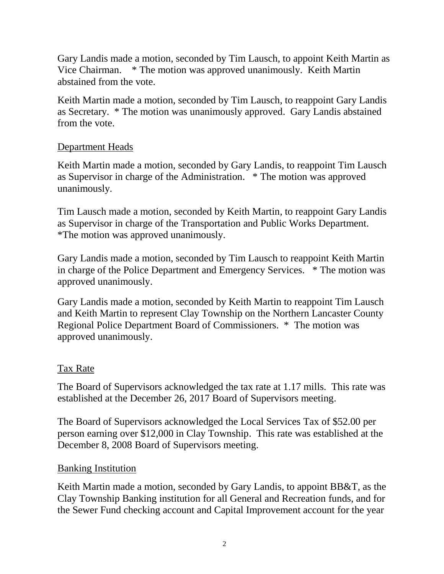Gary Landis made a motion, seconded by Tim Lausch, to appoint Keith Martin as Vice Chairman. \* The motion was approved unanimously. Keith Martin abstained from the vote.

Keith Martin made a motion, seconded by Tim Lausch, to reappoint Gary Landis as Secretary. \* The motion was unanimously approved. Gary Landis abstained from the vote.

# Department Heads

Keith Martin made a motion, seconded by Gary Landis, to reappoint Tim Lausch as Supervisor in charge of the Administration. \* The motion was approved unanimously.

Tim Lausch made a motion, seconded by Keith Martin, to reappoint Gary Landis as Supervisor in charge of the Transportation and Public Works Department. \*The motion was approved unanimously.

Gary Landis made a motion, seconded by Tim Lausch to reappoint Keith Martin in charge of the Police Department and Emergency Services. \* The motion was approved unanimously.

Gary Landis made a motion, seconded by Keith Martin to reappoint Tim Lausch and Keith Martin to represent Clay Township on the Northern Lancaster County Regional Police Department Board of Commissioners. \* The motion was approved unanimously.

# Tax Rate

The Board of Supervisors acknowledged the tax rate at 1.17 mills. This rate was established at the December 26, 2017 Board of Supervisors meeting.

The Board of Supervisors acknowledged the Local Services Tax of \$52.00 per person earning over \$12,000 in Clay Township. This rate was established at the December 8, 2008 Board of Supervisors meeting.

# Banking Institution

Keith Martin made a motion, seconded by Gary Landis, to appoint BB&T, as the Clay Township Banking institution for all General and Recreation funds, and for the Sewer Fund checking account and Capital Improvement account for the year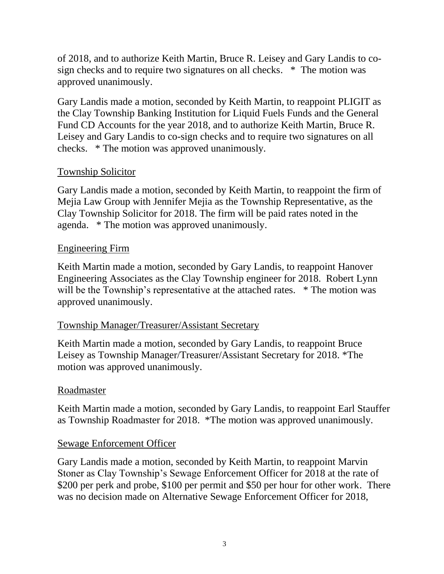of 2018, and to authorize Keith Martin, Bruce R. Leisey and Gary Landis to cosign checks and to require two signatures on all checks. \* The motion was approved unanimously.

Gary Landis made a motion, seconded by Keith Martin, to reappoint PLIGIT as the Clay Township Banking Institution for Liquid Fuels Funds and the General Fund CD Accounts for the year 2018, and to authorize Keith Martin, Bruce R. Leisey and Gary Landis to co-sign checks and to require two signatures on all checks. \* The motion was approved unanimously.

## Township Solicitor

Gary Landis made a motion, seconded by Keith Martin, to reappoint the firm of Mejia Law Group with Jennifer Mejia as the Township Representative, as the Clay Township Solicitor for 2018. The firm will be paid rates noted in the agenda. \* The motion was approved unanimously.

## Engineering Firm

Keith Martin made a motion, seconded by Gary Landis, to reappoint Hanover Engineering Associates as the Clay Township engineer for 2018. Robert Lynn will be the Township's representative at the attached rates. \* The motion was approved unanimously.

## Township Manager/Treasurer/Assistant Secretary

Keith Martin made a motion, seconded by Gary Landis, to reappoint Bruce Leisey as Township Manager/Treasurer/Assistant Secretary for 2018. \*The motion was approved unanimously.

## Roadmaster

Keith Martin made a motion, seconded by Gary Landis, to reappoint Earl Stauffer as Township Roadmaster for 2018. \*The motion was approved unanimously.

## Sewage Enforcement Officer

Gary Landis made a motion, seconded by Keith Martin, to reappoint Marvin Stoner as Clay Township's Sewage Enforcement Officer for 2018 at the rate of \$200 per perk and probe, \$100 per permit and \$50 per hour for other work. There was no decision made on Alternative Sewage Enforcement Officer for 2018,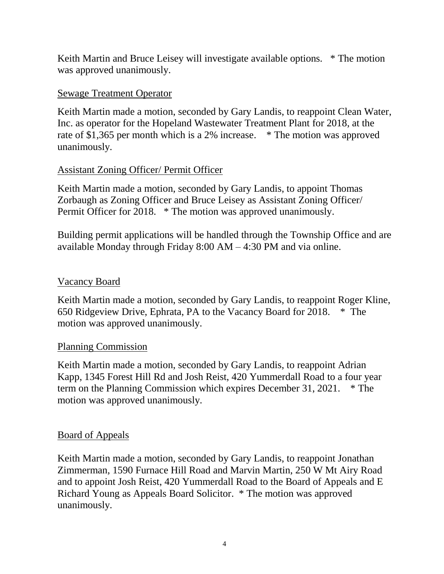Keith Martin and Bruce Leisey will investigate available options. \* The motion was approved unanimously.

## Sewage Treatment Operator

Keith Martin made a motion, seconded by Gary Landis, to reappoint Clean Water, Inc. as operator for the Hopeland Wastewater Treatment Plant for 2018, at the rate of \$1,365 per month which is a 2% increase. \* The motion was approved unanimously.

## Assistant Zoning Officer/ Permit Officer

Keith Martin made a motion, seconded by Gary Landis, to appoint Thomas Zorbaugh as Zoning Officer and Bruce Leisey as Assistant Zoning Officer/ Permit Officer for 2018. \* The motion was approved unanimously.

Building permit applications will be handled through the Township Office and are available Monday through Friday 8:00 AM – 4:30 PM and via online.

## Vacancy Board

Keith Martin made a motion, seconded by Gary Landis, to reappoint Roger Kline, 650 Ridgeview Drive, Ephrata, PA to the Vacancy Board for 2018. \* The motion was approved unanimously.

## Planning Commission

Keith Martin made a motion, seconded by Gary Landis, to reappoint Adrian Kapp, 1345 Forest Hill Rd and Josh Reist, 420 Yummerdall Road to a four year term on the Planning Commission which expires December 31, 2021. \* The motion was approved unanimously.

## Board of Appeals

Keith Martin made a motion, seconded by Gary Landis, to reappoint Jonathan Zimmerman, 1590 Furnace Hill Road and Marvin Martin, 250 W Mt Airy Road and to appoint Josh Reist, 420 Yummerdall Road to the Board of Appeals and E Richard Young as Appeals Board Solicitor. \* The motion was approved unanimously.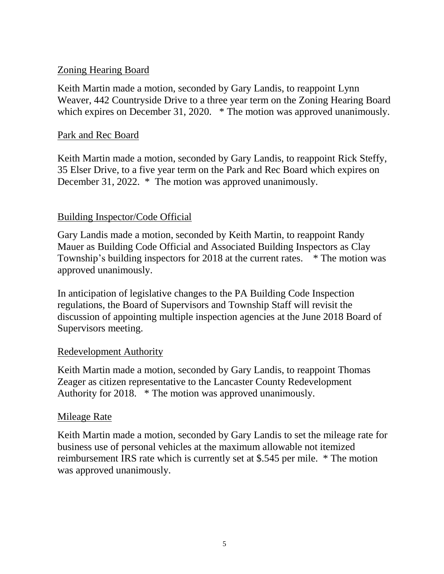## Zoning Hearing Board

Keith Martin made a motion, seconded by Gary Landis, to reappoint Lynn Weaver, 442 Countryside Drive to a three year term on the Zoning Hearing Board which expires on December 31, 2020. \* The motion was approved unanimously.

## Park and Rec Board

Keith Martin made a motion, seconded by Gary Landis, to reappoint Rick Steffy, 35 Elser Drive, to a five year term on the Park and Rec Board which expires on December 31, 2022. \* The motion was approved unanimously.

## Building Inspector/Code Official

Gary Landis made a motion, seconded by Keith Martin, to reappoint Randy Mauer as Building Code Official and Associated Building Inspectors as Clay Township's building inspectors for 2018 at the current rates. \* The motion was approved unanimously.

In anticipation of legislative changes to the PA Building Code Inspection regulations, the Board of Supervisors and Township Staff will revisit the discussion of appointing multiple inspection agencies at the June 2018 Board of Supervisors meeting.

## Redevelopment Authority

Keith Martin made a motion, seconded by Gary Landis, to reappoint Thomas Zeager as citizen representative to the Lancaster County Redevelopment Authority for 2018. \* The motion was approved unanimously.

## Mileage Rate

Keith Martin made a motion, seconded by Gary Landis to set the mileage rate for business use of personal vehicles at the maximum allowable not itemized reimbursement IRS rate which is currently set at \$.545 per mile. \* The motion was approved unanimously.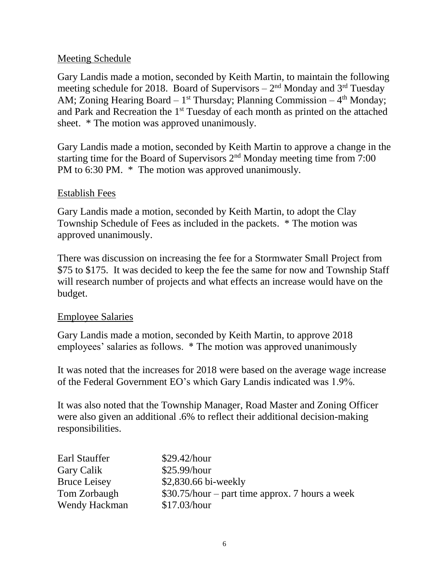## Meeting Schedule

Gary Landis made a motion, seconded by Keith Martin, to maintain the following meeting schedule for 2018. Board of Supervisors  $-2<sup>nd</sup>$  Monday and 3<sup>rd</sup> Tuesday AM; Zoning Hearing Board  $-1^{st}$  Thursday; Planning Commission  $-4^{th}$  Monday; and Park and Recreation the 1<sup>st</sup> Tuesday of each month as printed on the attached sheet. \* The motion was approved unanimously.

Gary Landis made a motion, seconded by Keith Martin to approve a change in the starting time for the Board of Supervisors  $2<sup>nd</sup>$  Monday meeting time from 7:00 PM to 6:30 PM.  $*$  The motion was approved unanimously.

#### Establish Fees

Gary Landis made a motion, seconded by Keith Martin, to adopt the Clay Township Schedule of Fees as included in the packets. \* The motion was approved unanimously.

There was discussion on increasing the fee for a Stormwater Small Project from \$75 to \$175. It was decided to keep the fee the same for now and Township Staff will research number of projects and what effects an increase would have on the budget.

#### Employee Salaries

Gary Landis made a motion, seconded by Keith Martin, to approve 2018 employees' salaries as follows. \* The motion was approved unanimously

It was noted that the increases for 2018 were based on the average wage increase of the Federal Government EO's which Gary Landis indicated was 1.9%.

It was also noted that the Township Manager, Road Master and Zoning Officer were also given an additional .6% to reflect their additional decision-making responsibilities.

| Earl Stauffer       | \$29.42/hour                                    |
|---------------------|-------------------------------------------------|
| Gary Calik          | \$25.99/hour                                    |
| <b>Bruce Leisey</b> | \$2,830.66 bi-weekly                            |
| Tom Zorbaugh        | \$30.75/hour – part time approx. 7 hours a week |
| Wendy Hackman       | \$17.03/hour                                    |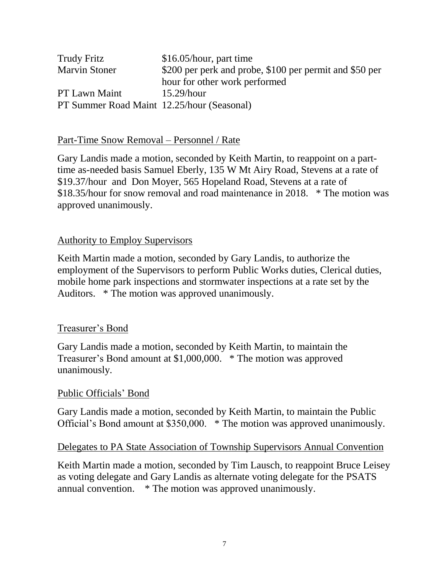| <b>Trudy Fritz</b>                         | $$16.05/hour$ , part time                               |
|--------------------------------------------|---------------------------------------------------------|
| <b>Marvin Stoner</b>                       | \$200 per perk and probe, \$100 per permit and \$50 per |
|                                            | hour for other work performed                           |
| <b>PT Lawn Maint</b>                       | $15.29/h$ our                                           |
| PT Summer Road Maint 12.25/hour (Seasonal) |                                                         |

#### Part-Time Snow Removal – Personnel / Rate

Gary Landis made a motion, seconded by Keith Martin, to reappoint on a parttime as-needed basis Samuel Eberly, 135 W Mt Airy Road, Stevens at a rate of \$19.37/hour and Don Moyer, 565 Hopeland Road, Stevens at a rate of \$18.35/hour for snow removal and road maintenance in 2018. \* The motion was approved unanimously.

### Authority to Employ Supervisors

Keith Martin made a motion, seconded by Gary Landis, to authorize the employment of the Supervisors to perform Public Works duties, Clerical duties, mobile home park inspections and stormwater inspections at a rate set by the Auditors. \* The motion was approved unanimously.

## Treasurer's Bond

Gary Landis made a motion, seconded by Keith Martin, to maintain the Treasurer's Bond amount at \$1,000,000. \* The motion was approved unanimously.

#### Public Officials' Bond

Gary Landis made a motion, seconded by Keith Martin, to maintain the Public Official's Bond amount at \$350,000. \* The motion was approved unanimously.

#### Delegates to PA State Association of Township Supervisors Annual Convention

Keith Martin made a motion, seconded by Tim Lausch, to reappoint Bruce Leisey as voting delegate and Gary Landis as alternate voting delegate for the PSATS annual convention. \* The motion was approved unanimously.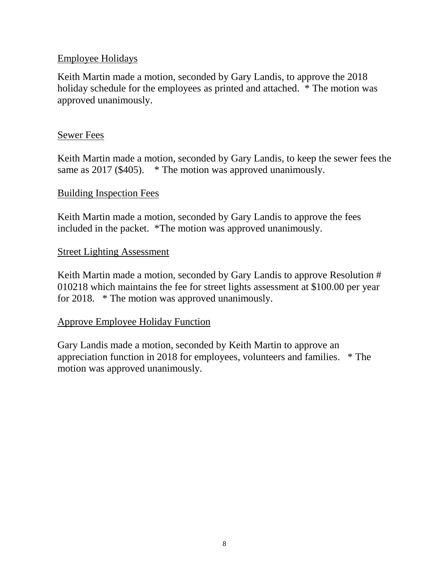## Employee Holidays

Keith Martin made a motion, seconded by Gary Landis, to approve the 2018 holiday schedule for the employees as printed and attached. \* The motion was approved unanimously.

## Sewer Fees

Keith Martin made a motion, seconded by Gary Landis, to keep the sewer fees the same as 2017 (\$405). \* The motion was approved unanimously.

### Building Inspection Fees

Keith Martin made a motion, seconded by Gary Landis to approve the fees included in the packet. \*The motion was approved unanimously.

### Street Lighting Assessment

Keith Martin made a motion, seconded by Gary Landis to approve Resolution # 010218 which maintains the fee for street lights assessment at \$100.00 per year for 2018. \* The motion was approved unanimously.

## Approve Employee Holiday Function

Gary Landis made a motion, seconded by Keith Martin to approve an appreciation function in 2018 for employees, volunteers and families. \* The motion was approved unanimously.